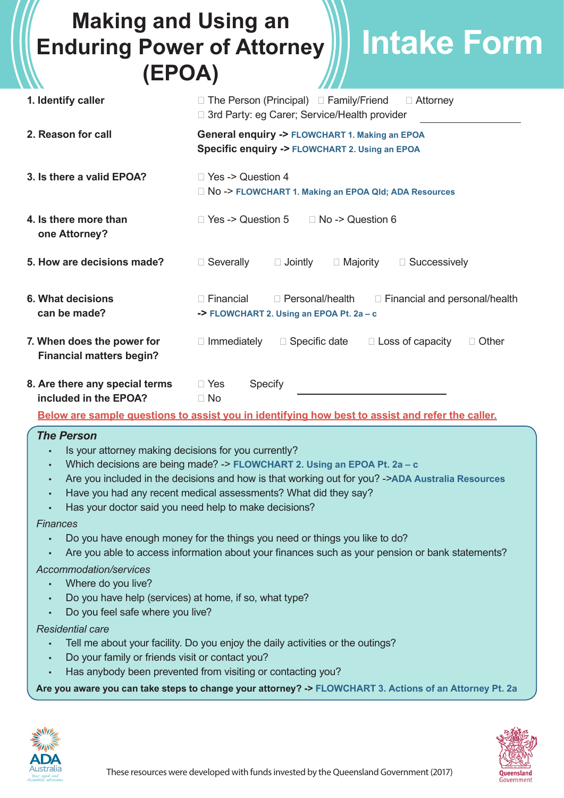# **Making and Using an Enduring Power of Attorney (EPOA) Intake Form**

| $L - U$                                                                                                                                                                                                                                                                                                                                                                                                                                                                                                                                                                                                                                                                                                                                                                          |                                                                                                                           |
|----------------------------------------------------------------------------------------------------------------------------------------------------------------------------------------------------------------------------------------------------------------------------------------------------------------------------------------------------------------------------------------------------------------------------------------------------------------------------------------------------------------------------------------------------------------------------------------------------------------------------------------------------------------------------------------------------------------------------------------------------------------------------------|---------------------------------------------------------------------------------------------------------------------------|
| 1. Identify caller                                                                                                                                                                                                                                                                                                                                                                                                                                                                                                                                                                                                                                                                                                                                                               | □ The Person (Principal) □ Family/Friend<br>$\Box$ Attorney<br>□ 3rd Party: eg Carer; Service/Health provider             |
| 2. Reason for call                                                                                                                                                                                                                                                                                                                                                                                                                                                                                                                                                                                                                                                                                                                                                               | <b>General enquiry -&gt; FLOWCHART 1. Making an EPOA</b><br><b>Specific enquiry -&gt; FLOWCHART 2. Using an EPOA</b>      |
| 3. Is there a valid EPOA?                                                                                                                                                                                                                                                                                                                                                                                                                                                                                                                                                                                                                                                                                                                                                        | □ Yes -> Question 4<br>□ No -> FLOWCHART 1. Making an EPOA Qld; ADA Resources                                             |
| 4. Is there more than<br>one Attorney?                                                                                                                                                                                                                                                                                                                                                                                                                                                                                                                                                                                                                                                                                                                                           | □ Yes -> Question 5<br>$\Box$ No -> Question 6                                                                            |
| 5. How are decisions made?                                                                                                                                                                                                                                                                                                                                                                                                                                                                                                                                                                                                                                                                                                                                                       | □ Severally<br>$\Box$ Jointly<br>$\Box$ Majority<br>$\Box$ Successively                                                   |
| <b>6. What decisions</b><br>can be made?                                                                                                                                                                                                                                                                                                                                                                                                                                                                                                                                                                                                                                                                                                                                         | $\Box$ Financial<br>$\Box$ Personal/health<br>□ Financial and personal/health<br>-> FLOWCHART 2. Using an EPOA Pt. 2a - c |
| 7. When does the power for<br><b>Financial matters begin?</b>                                                                                                                                                                                                                                                                                                                                                                                                                                                                                                                                                                                                                                                                                                                    | $\Box$ Immediately<br>$\Box$ Specific date<br>$\Box$ Loss of capacity<br>$\Box$ Other                                     |
| 8. Are there any special terms<br>included in the EPOA?                                                                                                                                                                                                                                                                                                                                                                                                                                                                                                                                                                                                                                                                                                                          | $\Box$ Yes<br><b>Specify</b><br>$\Box$ No                                                                                 |
|                                                                                                                                                                                                                                                                                                                                                                                                                                                                                                                                                                                                                                                                                                                                                                                  | Below are sample questions to assist you in identifying how best to assist and refer the caller.                          |
| <b>The Person</b><br>Is your attorney making decisions for you currently?<br>Which decisions are being made? -> FLOWCHART 2. Using an EPOA Pt. 2a - c<br>Are you included in the decisions and how is that working out for you? - >ADA Australia Resources<br>Have you had any recent medical assessments? What did they say?<br>$\bullet$<br>Has your doctor said you need help to make decisions?<br><b>Finances</b><br>Do you have enough money for the things you need or things you like to do?<br>Are you able to access information about your finances such as your pension or bank statements?<br>Accommodation/services<br>Where do you live?<br>Do you have help (services) at home, if so, what type?<br>Do you feel safe where you live?<br><b>Residential care</b> |                                                                                                                           |
| Tell me about your facility. Do you enjoy the daily activities or the outings?<br>Do your family or friends visit or contact you?<br>Has anybody been prevented from visiting or contacting you?                                                                                                                                                                                                                                                                                                                                                                                                                                                                                                                                                                                 |                                                                                                                           |
| Are you aware you can take steps to change your attorney? -> FLOWCHART 3. Actions of an Attorney Pt. 2a                                                                                                                                                                                                                                                                                                                                                                                                                                                                                                                                                                                                                                                                          |                                                                                                                           |
|                                                                                                                                                                                                                                                                                                                                                                                                                                                                                                                                                                                                                                                                                                                                                                                  |                                                                                                                           |



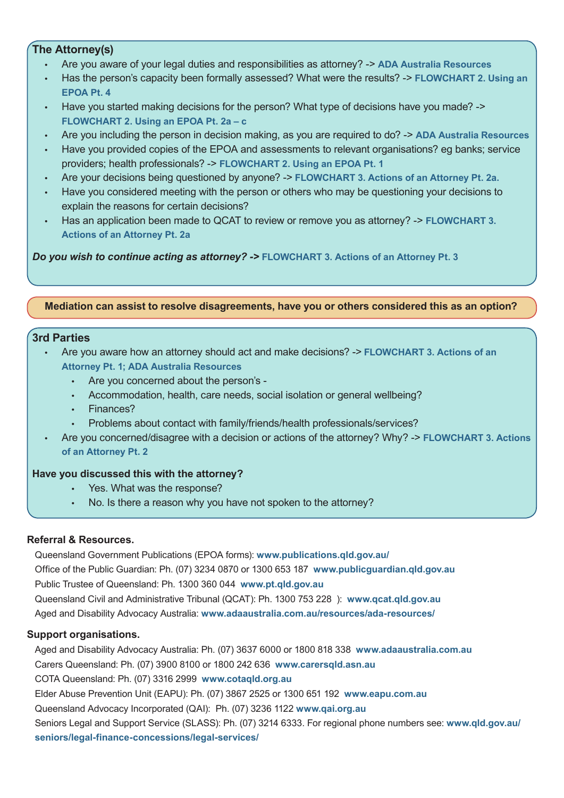### **The Attorney(s)**

- Are you aware of your legal duties and responsibilities as attorney? -> **ADA Australia Resources**
- Has the person's capacity been formally assessed? What were the results? -> **FLOWCHART 2. Using an EPOA Pt. 4**
- Have you started making decisions for the person? What type of decisions have you made? -> **FLOWCHART 2. Using an EPOA Pt. 2a – c**
- Are you including the person in decision making, as you are required to do? -> **ADA Australia Resources**
- Have you provided copies of the EPOA and assessments to relevant organisations? eg banks; service providers; health professionals? -> **FLOWCHART 2. Using an EPOA Pt. 1**
- Are your decisions being questioned by anyone? -> **FLOWCHART 3. Actions of an Attorney Pt. 2a.**
- Have you considered meeting with the person or others who may be questioning your decisions to explain the reasons for certain decisions?
- Has an application been made to QCAT to review or remove you as attorney? -> **FLOWCHART 3. Actions of an Attorney Pt. 2a**

*Do you wish to continue acting as attorney? ->* **FLOWCHART 3. Actions of an Attorney Pt. 3**

#### **Mediation can assist to resolve disagreements, have you or others considered this as an option?**

#### **3rd Parties**

- Are you aware how an attorney should act and make decisions? -> **FLOWCHART 3. Actions of an Attorney Pt. 1; ADA Australia Resources**
	- Are you concerned about the person's -
	- Accommodation, health, care needs, social isolation or general wellbeing?
	- Finances?
	- Problems about contact with family/friends/health professionals/services?
	- Are you concerned/disagree with a decision or actions of the attorney? Why? -> **FLOWCHART 3. Actions of an Attorney Pt. 2**

#### **Have you discussed this with the attorney?**

- Yes. What was the response?
- No. Is there a reason why you have not spoken to the attorney?

#### **Referral & Resources.**

Queensland Government Publications (EPOA forms): **www.publications.qld.gov.au/** Office of the Public Guardian: Ph. (07) 3234 0870 or 1300 653 187 **www.publicguardian.qld.gov.au** Public Trustee of Queensland: Ph. 1300 360 044 **www.pt.qld.gov.au** Queensland Civil and Administrative Tribunal (QCAT): Ph. 1300 753 228 ): **www.qcat.qld.gov.au** Aged and Disability Advocacy Australia: **www.adaaustralia.com.au/resources/ada-resources/**

## **Support organisations.**

Aged and Disability Advocacy Australia: Ph. (07) 3637 6000 or 1800 818 338 **www.adaaustralia.com.au** Carers Queensland: Ph. (07) 3900 8100 or 1800 242 636 **www.carersqld.asn.au**  COTA Queensland: Ph. (07) 3316 2999 **www.cotaqld.org.au** Elder Abuse Prevention Unit (EAPU): Ph. (07) 3867 2525 or 1300 651 192 **www.eapu.com.au** Queensland Advocacy Incorporated (QAI): Ph. (07) 3236 1122 **www.qai.org.au** Seniors Legal and Support Service (SLASS): Ph. (07) 3214 6333. For regional phone numbers see: **www.qld.gov.au/ seniors/legal-finance-concessions/legal-services/**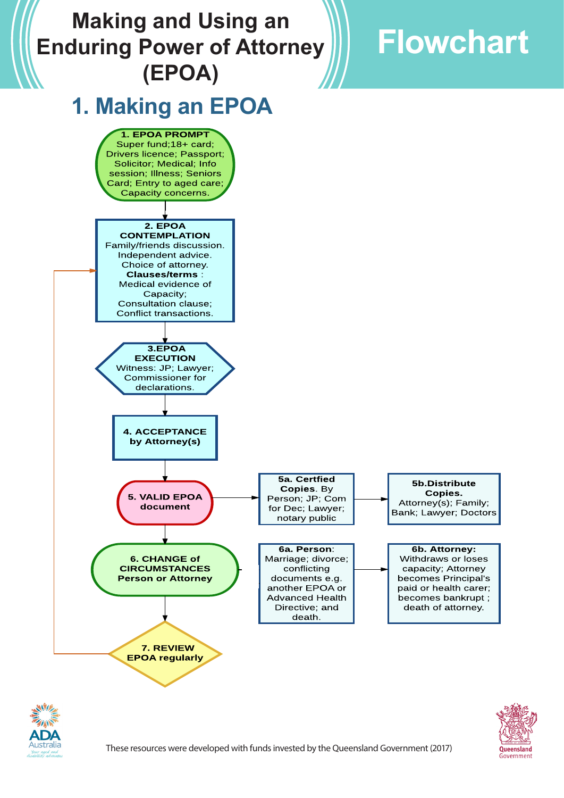